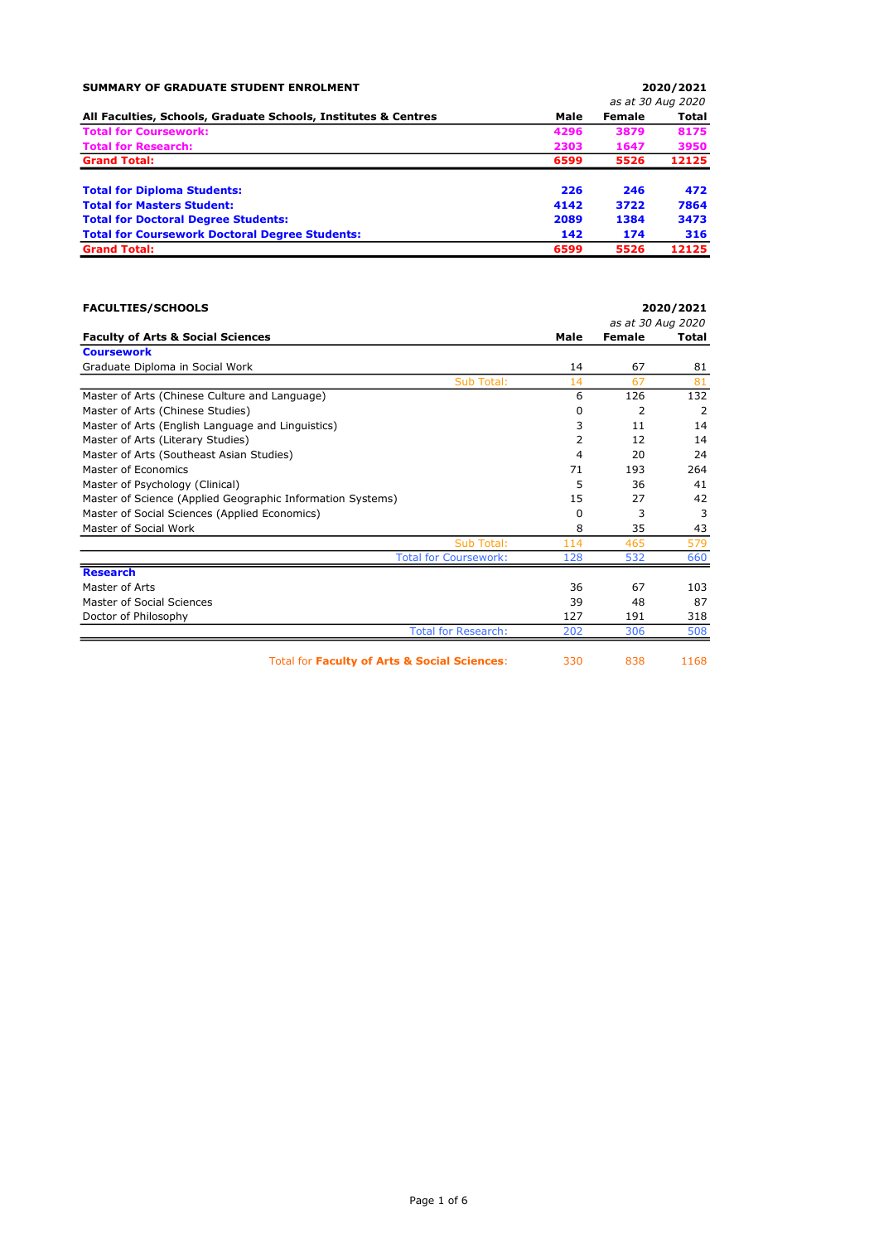| SUMMARY OF GRADUATE STUDENT ENROLMENT                          |                   | 2020/2021 |       |  |
|----------------------------------------------------------------|-------------------|-----------|-------|--|
|                                                                | as at 30 Aug 2020 |           |       |  |
| All Faculties, Schools, Graduate Schools, Institutes & Centres | Male              | Female    | Total |  |
| <b>Total for Coursework:</b>                                   | 4296              | 3879      | 8175  |  |
| <b>Total for Research:</b>                                     | 2303              | 1647      | 3950  |  |
| <b>Grand Total:</b>                                            | 6599              | 5526      | 12125 |  |
| <b>Total for Diploma Students:</b>                             | 226               | 246       | 472   |  |
| <b>Total for Masters Student:</b>                              | 4142              | 3722      | 7864  |  |
| <b>Total for Doctoral Degree Students:</b>                     | 2089              | 1384      | 3473  |  |
| <b>Total for Coursework Doctoral Degree Students:</b>          | 142               | 174       | 316   |  |
| <b>Grand Total:</b>                                            | 6599              | 5526      | 12125 |  |

| <b>FACULTIES/SCHOOLS</b>                                   |      |                   | 2020/2021    |
|------------------------------------------------------------|------|-------------------|--------------|
|                                                            |      | as at 30 Aug 2020 |              |
| <b>Faculty of Arts &amp; Social Sciences</b>               | Male | <b>Female</b>     | <b>Total</b> |
| <b>Coursework</b>                                          |      |                   |              |
| Graduate Diploma in Social Work                            | 14   | 67                | 81           |
| Sub Total:                                                 | 14   | 67                | 81           |
| Master of Arts (Chinese Culture and Language)              | 6    | 126               | 132          |
| Master of Arts (Chinese Studies)                           | 0    | 2                 | 2            |
| Master of Arts (English Language and Linguistics)          | 3    | 11                | 14           |
| Master of Arts (Literary Studies)                          | 2    | 12                | 14           |
| Master of Arts (Southeast Asian Studies)                   | 4    | 20                | 24           |
| Master of Economics                                        | 71   | 193               | 264          |
| Master of Psychology (Clinical)                            | 5    | 36                | 41           |
| Master of Science (Applied Geographic Information Systems) | 15   | 27                | 42           |
| Master of Social Sciences (Applied Economics)              | 0    | 3                 | 3            |
| Master of Social Work                                      | 8    | 35                | 43           |
| Sub Total:                                                 | 114  | 465               | 579          |
| <b>Total for Coursework:</b>                               | 128  | 532               | 660          |
| <b>Research</b>                                            |      |                   |              |
| Master of Arts                                             | 36   | 67                | 103          |
| Master of Social Sciences                                  | 39   | 48                | 87           |
| Doctor of Philosophy                                       | 127  | 191               | 318          |
| <b>Total for Research:</b>                                 | 202  | 306               | 508          |
| Total for Faculty of Arts & Social Sciences:               | 330  | 838               | 1168         |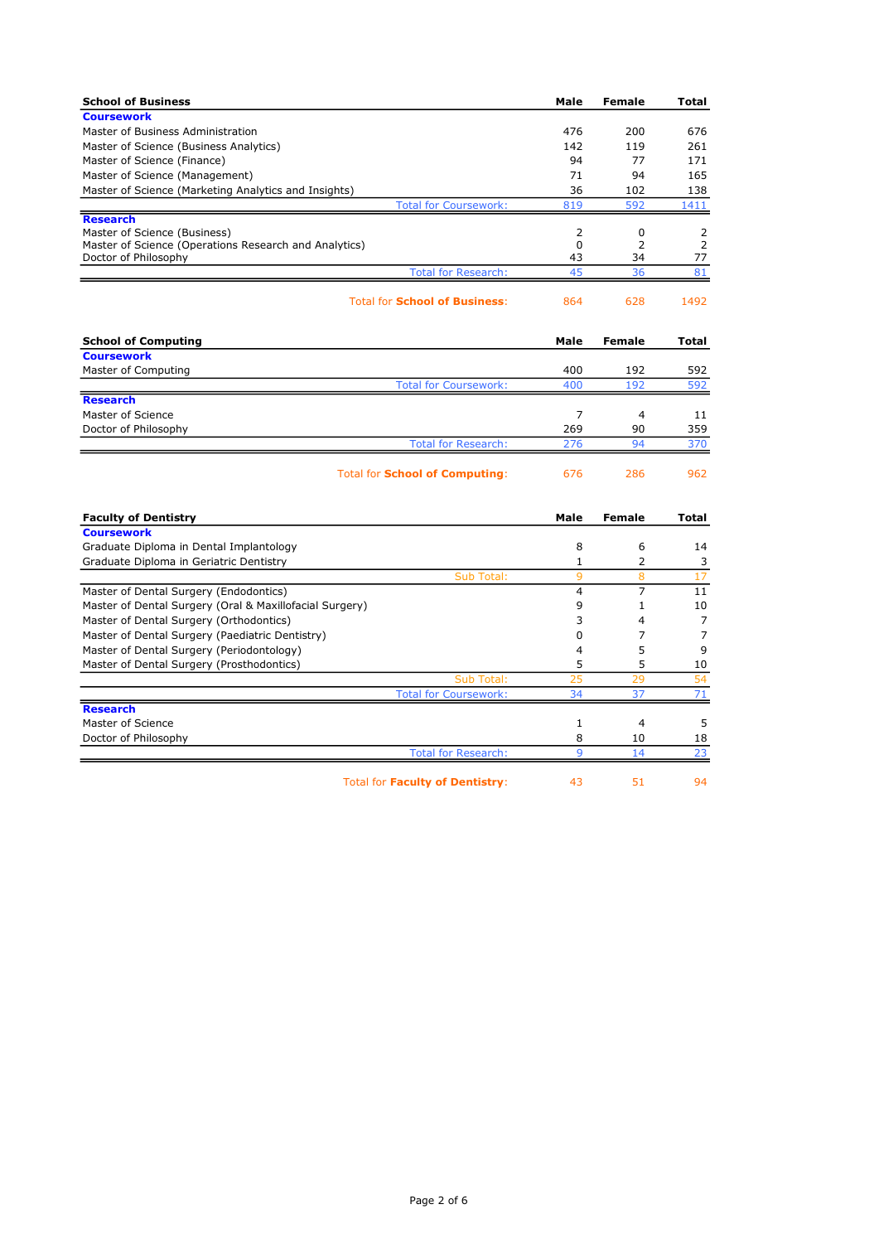| <b>School of Business</b>                                                     | Male           | <b>Female</b>  | Total               |
|-------------------------------------------------------------------------------|----------------|----------------|---------------------|
| <b>Coursework</b>                                                             |                |                |                     |
| Master of Business Administration                                             | 476            | 200            | 676                 |
| Master of Science (Business Analytics)                                        | 142            | 119            | 261                 |
| Master of Science (Finance)                                                   | 94             | 77             | 171                 |
| Master of Science (Management)                                                | 71             | 94             | 165                 |
| Master of Science (Marketing Analytics and Insights)                          | 36             | 102            | 138                 |
| <b>Total for Coursework:</b>                                                  | 819            | 592            | 1411                |
| <b>Research</b>                                                               |                |                |                     |
| Master of Science (Business)                                                  | 2              | 0              | 2<br>$\overline{2}$ |
| Master of Science (Operations Research and Analytics)<br>Doctor of Philosophy | $\Omega$<br>43 | 2<br>34        | 77                  |
| <b>Total for Research:</b>                                                    | 45             | 36             | 81                  |
|                                                                               |                |                |                     |
| <b>Total for School of Business:</b>                                          | 864            | 628            | 1492                |
| <b>School of Computing</b>                                                    | Male           | Female         | Total               |
| <b>Coursework</b>                                                             |                |                |                     |
| Master of Computing                                                           | 400            | 192            | 592                 |
| <b>Total for Coursework:</b>                                                  | 400            | 192            | 592                 |
| <b>Research</b>                                                               |                |                |                     |
| Master of Science                                                             | $\overline{7}$ | 4              | 11                  |
| Doctor of Philosophy                                                          | 269            | 90             | 359                 |
| <b>Total for Research:</b>                                                    | 276            | 94             | 370                 |
| <b>Total for School of Computing:</b>                                         | 676            | 286            | 962                 |
| <b>Faculty of Dentistry</b>                                                   | Male           | Female         | Total               |
| <b>Coursework</b>                                                             |                |                |                     |
| Graduate Diploma in Dental Implantology                                       | 8              | 6              | 14                  |
| Graduate Diploma in Geriatric Dentistry                                       | $\mathbf{1}$   | 2              | 3                   |
| Sub Total:                                                                    | 9              | 8              | 17                  |
| Master of Dental Surgery (Endodontics)                                        | 4              | $\overline{7}$ | 11                  |
| Master of Dental Surgery (Oral & Maxillofacial Surgery)                       | 9              | $\mathbf{1}$   | 10                  |
| Master of Dental Surgery (Orthodontics)                                       | 3              | 4              | $\overline{7}$      |
| Master of Dental Surgery (Paediatric Dentistry)                               | 0              | 7              | $\overline{7}$      |
| Master of Dental Surgery (Periodontology)                                     | 4              | 5              | 9                   |
| Master of Dental Surgery (Prosthodontics)                                     | 5              | 5              | 10                  |
| Sub Total:                                                                    | 25             | 29             | 54                  |
| <b>Total for Coursework:</b>                                                  | 34             | 37             | 71                  |
| <b>Research</b>                                                               |                |                |                     |
| Master of Science                                                             | 1              | $\overline{4}$ | 5                   |
| Doctor of Philosophy                                                          | 8              | 10             | 18                  |
| <b>Total for Research:</b>                                                    | $\mathsf{q}$   | 14             | 23                  |

Total for Faculty of Dentistry: 43 51 94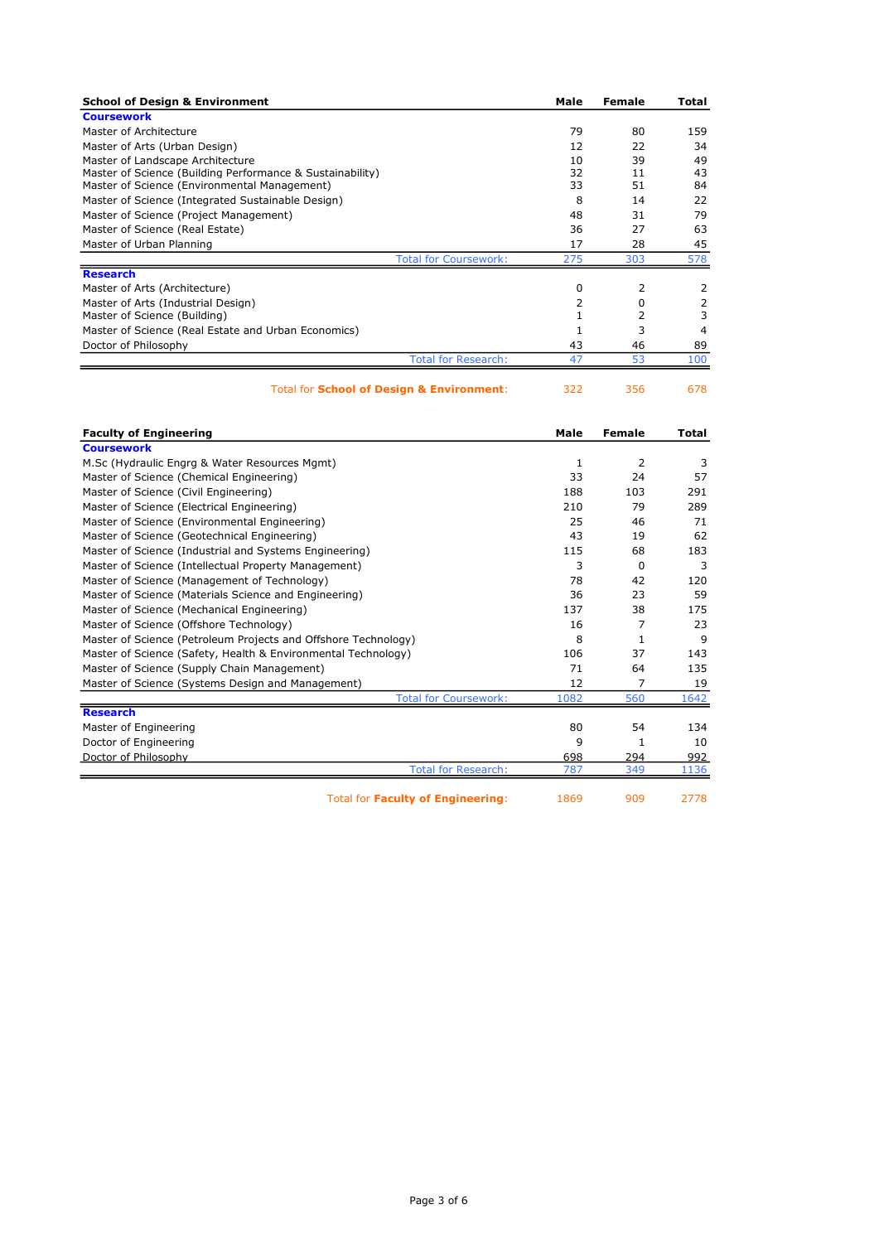| 79<br>12<br>10 | 80<br>22<br>39                                             | 159<br>34 |
|----------------|------------------------------------------------------------|-----------|
|                |                                                            |           |
|                |                                                            |           |
|                |                                                            |           |
|                |                                                            | 49        |
| 32             | 11                                                         | 43        |
| 33             | 51                                                         | 84        |
| 8              | 14                                                         | 22        |
| 48             | 31                                                         | 79        |
| 36             | 27                                                         | 63        |
| 17             | 28                                                         | 45        |
| 275            | 303                                                        | 578       |
|                |                                                            |           |
| 0              | 2                                                          |           |
| 2              | 0                                                          |           |
|                | 2                                                          | 3         |
|                | 3                                                          | 4         |
| 43             | 46                                                         | 89        |
| 47             | 53                                                         | 100       |
|                | <b>Total for Coursework:</b><br><b>Total for Research:</b> |           |

## Total for **School of Design & Environment**: 322 356 678

Faculty of Engineering **Male Female** Total **Faculty of Engineering** Male Female Total **Coursework** M.Sc (Hydraulic Engrg & Water Resources Mgmt) 1 2 3<br>
Master of Science (Chemical Engineering) 1 33 24 57 Master of Science (Chemical Engineering) 33 24 Master of Science (Civil Engineering) 188 103 291<br>Master of Science (Electrical Engineering) 188 210 79 289 Master of Science (Electrical Engineering) 210 299 Master of Science (Environmental Engineering) 25 46 71 Master of Science (Geotechnical Engineering) 43 19 62 Master of Science (Industrial and Systems Engineering) 115 115 183 Master of Science (Intellectual Property Management) 3 0 3 3 0 3 Master of Science (Management of Technology) 78 42 120 Master of Science (Materials Science and Engineering) 36 33 59<br>Master of Science (Mechanical Engineering) 38 37 38 375 Master of Science (Mechanical Engineering) Master of Science (Offshore Technology) 16 7 23 Master of Science (Petroleum Projects and Offshore Technology) 8 1 9 Master of Science (Safety, Health & Environmental Technology) 106 37 143<br>Master of Science (Supply Chain Management) 71 64 135 Master of Science (Supply Chain Management) 71 54 Master of Science (Systems Design and Management) 12 19 19 Total for Coursework: 1082 560 1642 **Research** Master of Engineering 200 54 134 Doctor of Engineering 9 1 10 Doctor of Philosophy 698 294 992 Total for Research: 787 349 1136

Total for Faculty of Engineering: 1869 909 2778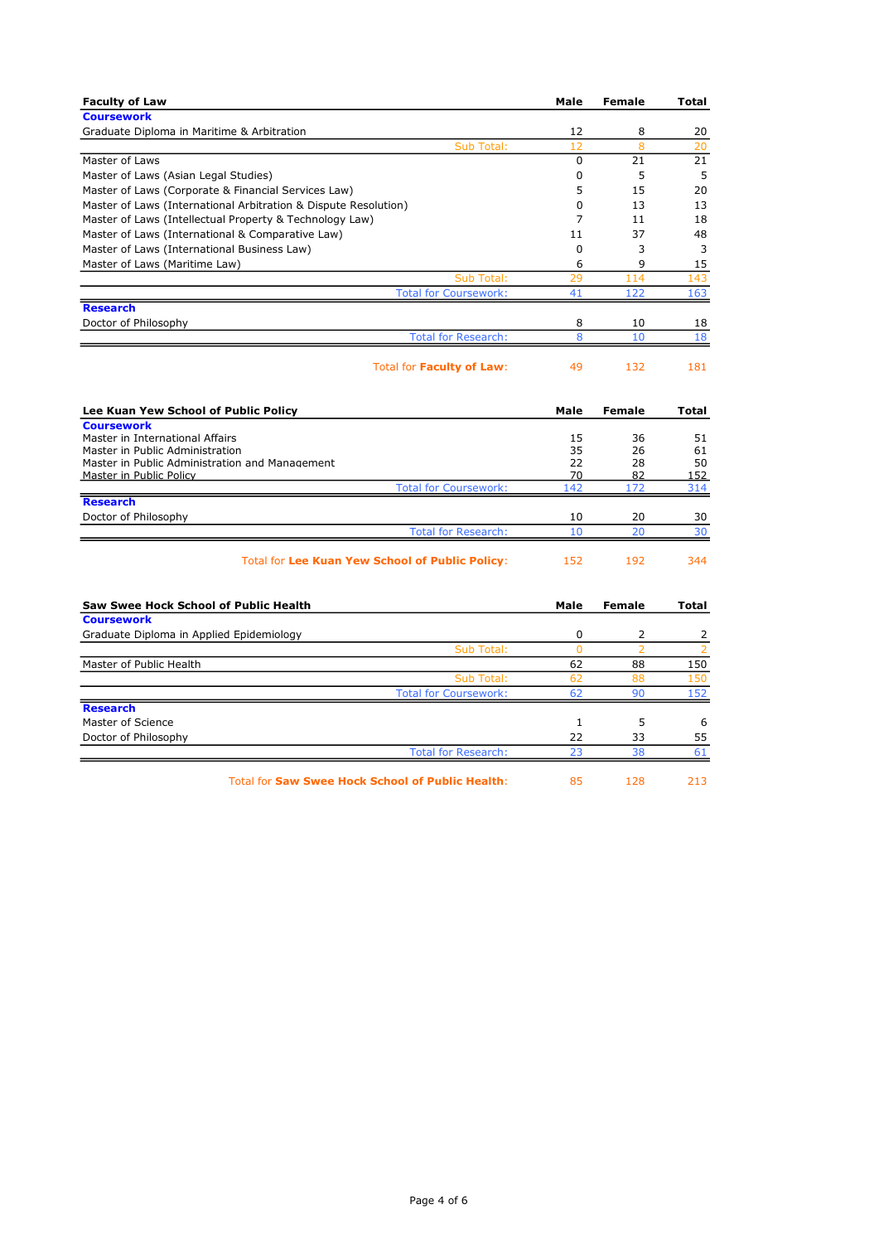| <b>Faculty of Law</b>                                           | Male           | <b>Female</b>  | Total          |
|-----------------------------------------------------------------|----------------|----------------|----------------|
| <b>Coursework</b>                                               |                |                |                |
| Graduate Diploma in Maritime & Arbitration                      | 12             | 8              | 20             |
| Sub Total:                                                      | 12             | 8              | 20             |
| Master of Laws                                                  | $\mathbf 0$    | 21             | 21             |
| Master of Laws (Asian Legal Studies)                            | 0              | 5              | 5              |
| Master of Laws (Corporate & Financial Services Law)             | 5              | 15             | 20             |
| Master of Laws (International Arbitration & Dispute Resolution) | 0              | 13             | 13             |
| Master of Laws (Intellectual Property & Technology Law)         | $\overline{7}$ | 11             | 18             |
| Master of Laws (International & Comparative Law)                | 11             | 37             | 48             |
| Master of Laws (International Business Law)                     | 0              | 3              | 3              |
| Master of Laws (Maritime Law)                                   | 6              | 9              | 15             |
| Sub Total:                                                      | 29             | 114            | 143            |
| <b>Total for Coursework:</b>                                    | 41             | 122            | 163            |
| <b>Research</b>                                                 |                |                |                |
| Doctor of Philosophy                                            | 8              | 10             | 18             |
| <b>Total for Research:</b>                                      | 8              | 10             | 18             |
|                                                                 |                |                |                |
| Total for Faculty of Law:                                       | 49             | 132            | 181            |
| Lee Kuan Yew School of Public Policy                            | Male           | <b>Female</b>  | Total          |
| <b>Coursework</b>                                               |                |                |                |
| Master in International Affairs                                 | 15             | 36             | 51             |
| Master in Public Administration                                 | 35             | 26             | 61             |
| Master in Public Administration and Management                  | 22             | 28             | 50             |
| Master in Public Policy<br><b>Total for Coursework:</b>         | 70<br>142      | 82<br>172      | 152<br>314     |
| <b>Research</b>                                                 |                |                |                |
| Doctor of Philosophy                                            | 10             | 20             | 30             |
| <b>Total for Research:</b>                                      | 10             | 20             | 30             |
|                                                                 |                |                |                |
| <b>Total for Lee Kuan Yew School of Public Policy:</b>          | 152            | 192            | 344            |
| <b>Saw Swee Hock School of Public Health</b>                    | Male           | <b>Female</b>  | Total          |
| <b>Coursework</b>                                               |                |                |                |
| Graduate Diploma in Applied Epidemiology                        | 0              | 2              | 2              |
| Sub Total:                                                      | $\overline{0}$ | $\overline{2}$ | $\overline{2}$ |
| Master of Public Health                                         | 62             | 88             | 150            |
| Sub Total:                                                      | 62             | 88             | 150            |
| <b>Total for Coursework:</b>                                    | 62             | 90             | 152            |
| <b>Research</b>                                                 |                |                |                |
| Master of Science                                               | $\mathbf{1}$   | 5              | 6              |
| Doctor of Philosophy                                            | 22             | 33             | 55             |
| <b>Total for Research:</b>                                      | 23             | 38             | 61             |
|                                                                 |                |                |                |
| <b>Total for Saw Swee Hock School of Public Health:</b>         | 85             | 128            | 213            |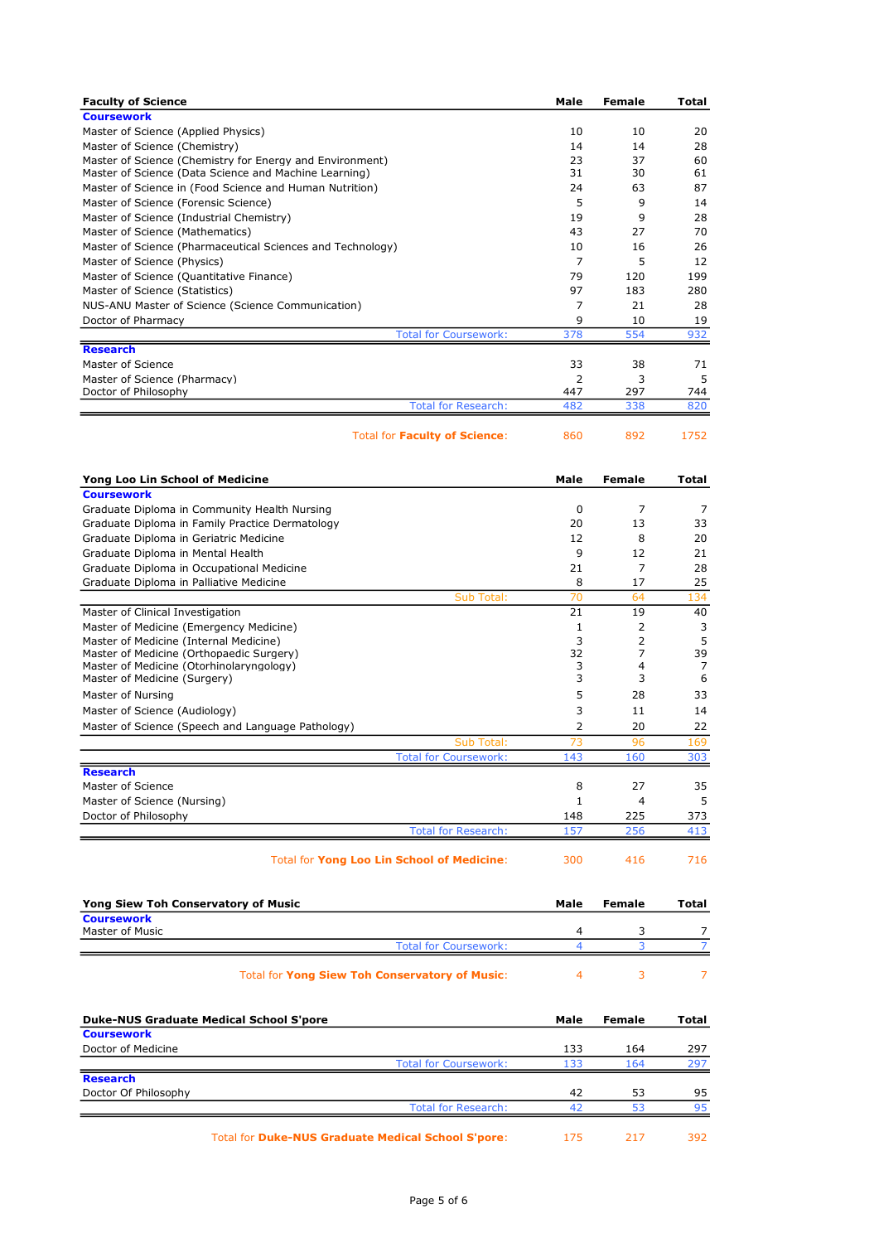| <b>Faculty of Science</b>                                  | Male        | <b>Female</b> | Total          |
|------------------------------------------------------------|-------------|---------------|----------------|
| <b>Coursework</b>                                          |             |               |                |
| Master of Science (Applied Physics)                        | 10          | 10            | 20             |
| Master of Science (Chemistry)                              | 14          | 14            | 28             |
| Master of Science (Chemistry for Energy and Environment)   | 23          | 37            | 60             |
| Master of Science (Data Science and Machine Learning)      | 31          | 30            | 61             |
| Master of Science in (Food Science and Human Nutrition)    | 24          | 63            | 87             |
| Master of Science (Forensic Science)                       | 5           | 9             | 14             |
| Master of Science (Industrial Chemistry)                   | 19          | 9             | 28             |
| Master of Science (Mathematics)                            | 43          | 27            | 70             |
| Master of Science (Pharmaceutical Sciences and Technology) | 10          | 16            | 26             |
|                                                            | 7           | 5             | 12             |
| Master of Science (Physics)                                |             |               |                |
| Master of Science (Quantitative Finance)                   | 79          | 120           | 199            |
| Master of Science (Statistics)                             | 97          | 183           | 280            |
| NUS-ANU Master of Science (Science Communication)          | 7           | 21            | 28             |
| Doctor of Pharmacy                                         | 9           | 10            | 19             |
| <b>Total for Coursework:</b>                               | 378         | 554           | 932            |
| <b>Research</b>                                            |             |               |                |
| Master of Science                                          | 33          | 38            | 71             |
| Master of Science (Pharmacy)                               | 2           | 3             | 5              |
| Doctor of Philosophy                                       | 447         | 297           | 744            |
| <b>Total for Research:</b>                                 | 482         | 338           | 820            |
| <b>Total for Faculty of Science:</b>                       | 860         | 892           | 1752           |
| Yong Loo Lin School of Medicine                            | Male        | Female        | Total          |
| <b>Coursework</b>                                          |             |               |                |
| Graduate Diploma in Community Health Nursing               | 0           | 7             | 7              |
| Graduate Diploma in Family Practice Dermatology            | 20          | 13            | 33             |
| Graduate Diploma in Geriatric Medicine                     | 12          | 8             | 20             |
|                                                            |             |               |                |
| Graduate Diploma in Mental Health                          | 9           | 12            | 21             |
| Graduate Diploma in Occupational Medicine                  | 21          | 7             | 28             |
| Graduate Diploma in Palliative Medicine                    | 8           | 17            | 25             |
| Sub Total:                                                 | 70          | 64            | 134            |
| Master of Clinical Investigation                           | 21          | 19            | 40             |
| Master of Medicine (Emergency Medicine)                    | 1           | 2             | 3              |
| Master of Medicine (Internal Medicine)                     | 3           | 2             | 5              |
| Master of Medicine (Orthopaedic Surgery)                   | 32          | 7             | 39             |
| Master of Medicine (Otorhinolaryngology)                   | 3           | 4             | 7              |
| Master of Medicine (Surgery)                               | 3           | 3             | 6              |
| Master of Nursing                                          | 5           | 28            | 33             |
| Master of Science (Audiology)                              | 3           | 11            | 14             |
| Master of Science (Speech and Language Pathology)          | 2           | 20            | 22             |
| Sub Total:                                                 | 73          | 96            | 169            |
| <b>Total for Coursework:</b>                               | 143         | 160           | 303            |
| <b>Research</b>                                            |             |               |                |
|                                                            |             |               |                |
| Master of Science                                          | 8           | 27            | 35             |
| Master of Science (Nursing)                                | $\mathbf 1$ | 4             | 5              |
| Doctor of Philosophy                                       | 148         | 225           | 373            |
| <b>Total for Research:</b>                                 | 157         | 256           | 413            |
| Total for Yong Loo Lin School of Medicine:                 | 300         | 416           | 716            |
| <b>Yong Siew Toh Conservatory of Music</b>                 | Male        | Female        | Total          |
| <b>Coursework</b>                                          |             |               |                |
| Master of Music                                            | 4           | 3             | 7              |
| <b>Total for Coursework:</b>                               | 4           | 3             | $\overline{7}$ |
| <b>Total for Yong Siew Toh Conservatory of Music:</b>      | 4           | 3             | 7              |
|                                                            |             |               |                |
| <b>Duke-NUS Graduate Medical School S'pore</b>             | Male        | Female        | Total          |
| <b>Coursework</b>                                          |             |               |                |
| Doctor of Medicine                                         | 133         | 164           | 297            |
| <b>Total for Coursework:</b>                               | 133         | 164           | 297            |
| <b>Research</b>                                            |             |               |                |
| Doctor Of Philosophy                                       | 42          | 53            | 95             |
| <b>Total for Research:</b>                                 | 42          | 53            | 95             |
| Total for Duke-NUS Graduate Medical School S'pore:         | 175         | 217           | 392            |
|                                                            |             |               |                |